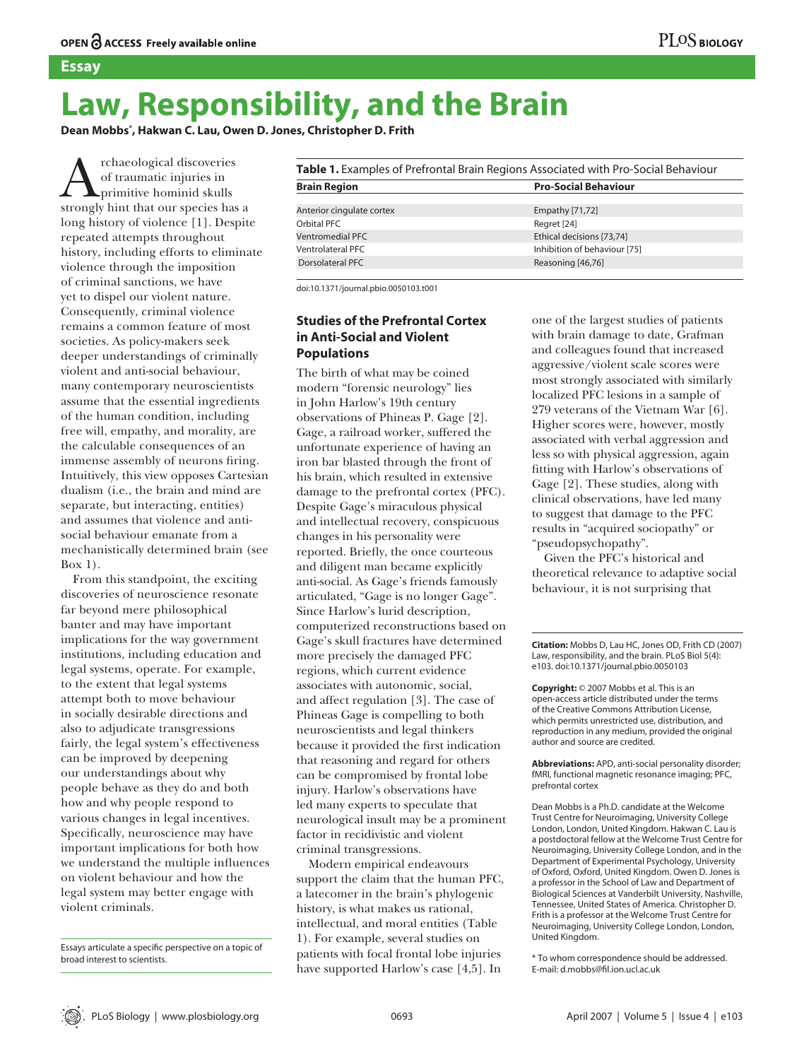## **Essay**

# **Law, Responsibility, and the Brain**

**Dean Mobbs\* , Hakwan C. Lau, Owen D. Jones, Christopher D. Frith**

Archaeological discoveries<br>
of traumatic injuries in<br>
strongly hint that our species has a of traumatic injuries in primitive hominid skulls long history of violence [1]. Despite repeated attempts throughout history, including efforts to eliminate violence through the imposition of criminal sanctions, we have yet to dispel our violent nature. Consequently, criminal violence remains a common feature of most societies. As policy-makers seek deeper understandings of criminally violent and anti-social behaviour, many contemporary neuroscientists assume that the essential ingredients of the human condition, including free will, empathy, and morality, are the calculable consequences of an immense assembly of neurons firing. Intuitively, this view opposes Cartesian dualism (i.e., the brain and mind are separate, but interacting, entities) and assumes that violence and antisocial behaviour emanate from a mechanistically determined brain (see Box 1).

From this standpoint, the exciting discoveries of neuroscience resonate far beyond mere philosophical banter and may have important implications for the way government institutions, including education and legal systems, operate. For example, to the extent that legal systems attempt both to move behaviour in socially desirable directions and also to adjudicate transgressions fairly, the legal system's effectiveness can be improved by deepening our understandings about why people behave as they do and both how and why people respond to various changes in legal incentives. Specifically, neuroscience may have important implications for both how we understand the multiple influences on violent behaviour and how the legal system may better engage with violent criminals.

| <b>Table 1.</b> Examples of Prefrontal Brain Regions Associated with Pro-Social Behaviour |                              |
|-------------------------------------------------------------------------------------------|------------------------------|
| Brain Region                                                                              | <b>Pro-Social Behaviour</b>  |
|                                                                                           |                              |
| Anterior cingulate cortex                                                                 | Empathy [71,72]              |
| Orbital PFC                                                                               | Regret [24]                  |
| <b>Ventromedial PFC</b>                                                                   | Ethical decisions [73,74]    |
| Ventrolateral PFC                                                                         | Inhibition of behaviour [75] |
| Dorsolateral PFC                                                                          | Reasoning [46,76]            |

doi:10.1371/journal.pbio.0050103.t001

## **Studies of the Prefrontal Cortex in Anti-Social and Violent Populations**

The birth of what may be coined modern "forensic neurology" lies in John Harlow's 19th century observations of Phineas P. Gage [2]. Gage, a railroad worker, suffered the unfortunate experience of having an iron bar blasted through the front of his brain, which resulted in extensive damage to the prefrontal cortex (PFC). Despite Gage's miraculous physical and intellectual recovery, conspicuous changes in his personality were reported. Briefly, the once courteous and diligent man became explicitly anti-social. As Gage's friends famously articulated, "Gage is no longer Gage". Since Harlow's lurid description, computerized reconstructions based on Gage's skull fractures have determined more precisely the damaged PFC regions, which current evidence associates with autonomic, social, and affect regulation [3]. The case of Phineas Gage is compelling to both neuroscientists and legal thinkers because it provided the first indication that reasoning and regard for others can be compromised by frontal lobe injury. Harlow's observations have led many experts to speculate that neurological insult may be a prominent factor in recidivistic and violent criminal transgressions.

Modern empirical endeavours support the claim that the human PFC, a latecomer in the brain's phylogenic history, is what makes us rational, intellectual, and moral entities (Table 1). For example, several studies on patients with focal frontal lobe injuries have supported Harlow's case [4,5]. In

one of the largest studies of patients with brain damage to date, Grafman and colleagues found that increased aggressive/violent scale scores were most strongly associated with similarly localized PFC lesions in a sample of 279 veterans of the Vietnam War [6]. Higher scores were, however, mostly associated with verbal aggression and less so with physical aggression, again fitting with Harlow's observations of Gage [2]. These studies, along with clinical observations, have led many to suggest that damage to the PFC results in "acquired sociopathy" or "pseudopsychopathy".

Given the PFC's historical and theoretical relevance to adaptive social behaviour, it is not surprising that

**Copyright:** © 2007 Mobbs et al. This is an open-access article distributed under the terms of the Creative Commons Attribution License, which permits unrestricted use, distribution, and reproduction in any medium, provided the original author and source are credited.

**Abbreviations:** APD, anti-social personality disorder; fMRI, functional magnetic resonance imaging; PFC, prefrontal cortex

Dean Mobbs is a Ph.D. candidate at the Welcome Trust Centre for Neuroimaging, University College London, London, United Kingdom. Hakwan C. Lau is a postdoctoral fellow at the Welcome Trust Centre for Neuroimaging, University College London, and in the Department of Experimental Psychology, University of Oxford, Oxford, United Kingdom. Owen D. Jones is a professor in the School of Law and Department of Biological Sciences at Vanderbilt University, Nashville, Tennessee, United States of America. Christopher D. Frith is a professor at the Welcome Trust Centre for Neuroimaging, University College London, London, United Kingdom.

\* To whom correspondence should be addressed. E-mail: d.mobbs@fi l.ion.ucl.ac.uk

Essays articulate a specific perspective on a topic of broad interest to scientists.

**Citation:** Mobbs D, Lau HC, Jones OD, Frith CD (2007) Law, responsibility, and the brain. PLoS Biol 5(4): e103. doi:10.1371/journal.pbio.0050103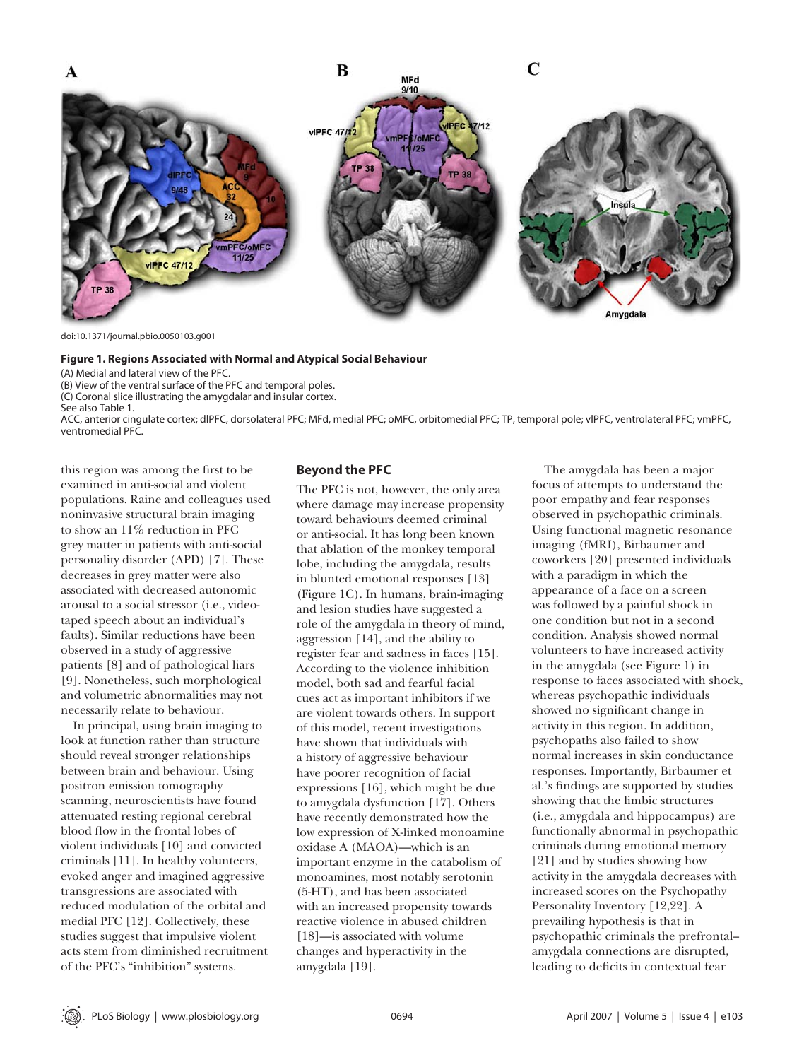

doi:10.1371/journal.pbio.0050103.g001

#### **Figure 1. Regions Associated with Normal and Atypical Social Behaviour**

(A) Medial and lateral view of the PFC.

(B) View of the ventral surface of the PFC and temporal poles.

(C) Coronal slice illustrating the amygdalar and insular cortex.

See also Table 1.

ACC, anterior cingulate cortex; dlPFC, dorsolateral PFC; MFd, medial PFC; oMFC, orbitomedial PFC; TP, temporal pole; vlPFC, ventrolateral PFC; vmPFC, ventromedial PFC.

this region was among the first to be examined in anti-social and violent populations. Raine and colleagues used noninvasive structural brain imaging to show an 11% reduction in PFC grey matter in patients with anti-social personality disorder (APD) [7]. These decreases in grey matter were also associated with decreased autonomic arousal to a social stressor (i.e., videotaped speech about an individual's faults). Similar reductions have been observed in a study of aggressive patients [8] and of pathological liars [9]. Nonetheless, such morphological and volumetric abnormalities may not necessarily relate to behaviour.

In principal, using brain imaging to look at function rather than structure should reveal stronger relationships between brain and behaviour. Using positron emission tomography scanning, neuroscientists have found attenuated resting regional cerebral blood flow in the frontal lobes of violent individuals [10] and convicted criminals [11]. In healthy volunteers, evoked anger and imagined aggressive transgressions are associated with reduced modulation of the orbital and medial PFC [12]. Collectively, these studies suggest that impulsive violent acts stem from diminished recruitment of the PFC's "inhibition" systems.

#### **Beyond the PFC**

The PFC is not, however, the only area where damage may increase propensity toward behaviours deemed criminal or anti-social. It has long been known that ablation of the monkey temporal lobe, including the amygdala, results in blunted emotional responses [13] (Figure 1C). In humans, brain-imaging and lesion studies have suggested a role of the amygdala in theory of mind, aggression [14], and the ability to register fear and sadness in faces [15]. According to the violence inhibition model, both sad and fearful facial cues act as important inhibitors if we are violent towards others. In support of this model, recent investigations have shown that individuals with a history of aggressive behaviour have poorer recognition of facial expressions [16], which might be due to amygdala dysfunction [17]. Others have recently demonstrated how the low expression of X-linked monoamine oxidase A (MAOA)—which is an important enzyme in the catabolism of monoamines, most notably serotonin (5-HT), and has been associated with an increased propensity towards reactive violence in abused children [18]—is associated with volume changes and hyperactivity in the amygdala [19].

The amygdala has been a major focus of attempts to understand the poor empathy and fear responses observed in psychopathic criminals. Using functional magnetic resonance imaging (fMRI), Birbaumer and coworkers [20] presented individuals with a paradigm in which the appearance of a face on a screen was followed by a painful shock in one condition but not in a second condition. Analysis showed normal volunteers to have increased activity in the amygdala (see Figure 1) in response to faces associated with shock, whereas psychopathic individuals showed no significant change in activity in this region. In addition, psychopaths also failed to show normal increases in skin conductance responses. Importantly, Birbaumer et al.'s findings are supported by studies showing that the limbic structures (i.e., amygdala and hippocampus) are functionally abnormal in psychopathic criminals during emotional memory [21] and by studies showing how activity in the amygdala decreases with increased scores on the Psychopathy Personality Inventory [12,22]. A prevailing hypothesis is that in psychopathic criminals the prefrontal– amygdala connections are disrupted, leading to deficits in contextual fear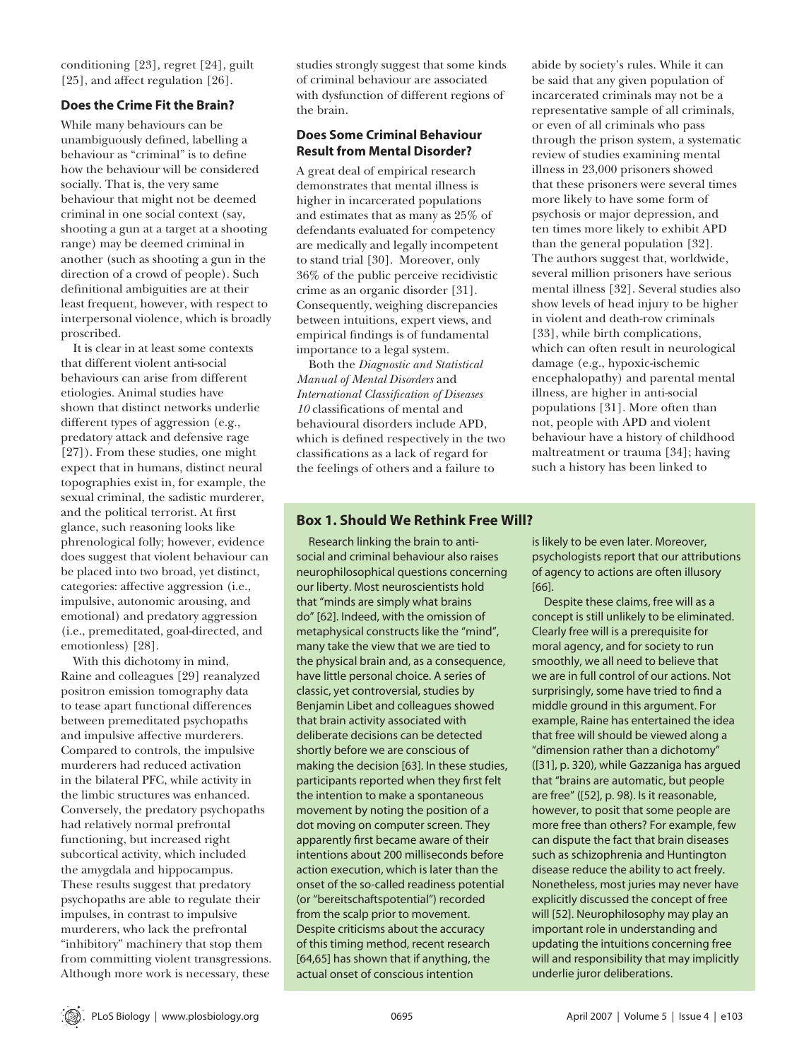conditioning [23], regret [24], guilt [25], and affect regulation [26].

#### **Does the Crime Fit the Brain?**

While many behaviours can be unambiguously defined, labelling a behaviour as "criminal" is to define how the behaviour will be considered socially. That is, the very same behaviour that might not be deemed criminal in one social context (say, shooting a gun at a target at a shooting range) may be deemed criminal in another (such as shooting a gun in the direction of a crowd of people). Such definitional ambiguities are at their least frequent, however, with respect to interpersonal violence, which is broadly proscribed.

It is clear in at least some contexts that different violent anti-social behaviours can arise from different etiologies. Animal studies have shown that distinct networks underlie different types of aggression (e.g., predatory attack and defensive rage [27]). From these studies, one might expect that in humans, distinct neural topographies exist in, for example, the sexual criminal, the sadistic murderer, and the political terrorist. At first glance, such reasoning looks like phrenological folly; however, evidence does suggest that violent behaviour can be placed into two broad, yet distinct, categories: affective aggression (i.e., impulsive, autonomic arousing, and emotional) and predatory aggression (i.e., premeditated, goal-directed, and emotionless) [28].

With this dichotomy in mind, Raine and colleagues [29] reanalyzed positron emission tomography data to tease apart functional differences between premeditated psychopaths and impulsive affective murderers. Compared to controls, the impulsive murderers had reduced activation in the bilateral PFC, while activity in the limbic structures was enhanced. Conversely, the predatory psychopaths had relatively normal prefrontal functioning, but increased right subcortical activity, which included the amygdala and hippocampus. These results suggest that predatory psychopaths are able to regulate their impulses, in contrast to impulsive murderers, who lack the prefrontal "inhibitory" machinery that stop them from committing violent transgressions. Although more work is necessary, these

studies strongly suggest that some kinds of criminal behaviour are associated with dysfunction of different regions of the brain.

## **Does Some Criminal Behaviour Result from Mental Disorder?**

A great deal of empirical research demonstrates that mental illness is higher in incarcerated populations and estimates that as many as 25% of defendants evaluated for competency are medically and legally incompetent to stand trial [30]. Moreover, only 36% of the public perceive recidivistic crime as an organic disorder [31]. Consequently, weighing discrepancies between intuitions, expert views, and empirical findings is of fundamental importance to a legal system.

Both the *Diagnostic and Statistical Manual of Mental Disorders* and *International Classifi cation of Diseases*  10 classifications of mental and behavioural disorders include APD, which is defined respectively in the two classifications as a lack of regard for the feelings of others and a failure to

abide by society's rules. While it can be said that any given population of incarcerated criminals may not be a representative sample of all criminals, or even of all criminals who pass through the prison system, a systematic review of studies examining mental illness in 23,000 prisoners showed that these prisoners were several times more likely to have some form of psychosis or major depression, and ten times more likely to exhibit APD than the general population [32]. The authors suggest that, worldwide, several million prisoners have serious mental illness [32]. Several studies also show levels of head injury to be higher in violent and death-row criminals [33], while birth complications, which can often result in neurological damage (e.g., hypoxic-ischemic encephalopathy) and parental mental illness, are higher in anti-social populations [31]. More often than not, people with APD and violent behaviour have a history of childhood maltreatment or trauma [34]; having such a history has been linked to

#### **Box 1. Should We Rethink Free Will?**

Research linking the brain to antisocial and criminal behaviour also raises neurophilosophical questions concerning our liberty. Most neuroscientists hold that "minds are simply what brains do" [62]. Indeed, with the omission of metaphysical constructs like the "mind", many take the view that we are tied to the physical brain and, as a consequence, have little personal choice. A series of classic, yet controversial, studies by Benjamin Libet and colleagues showed that brain activity associated with deliberate decisions can be detected shortly before we are conscious of making the decision [63]. In these studies, participants reported when they first felt the intention to make a spontaneous movement by noting the position of a dot moving on computer screen. They apparently first became aware of their intentions about 200 milliseconds before action execution, which is later than the onset of the so-called readiness potential (or "bereitschaftspotential") recorded from the scalp prior to movement. Despite criticisms about the accuracy of this timing method, recent research [64,65] has shown that if anything, the actual onset of conscious intention

is likely to be even later. Moreover, psychologists report that our attributions of agency to actions are often illusory [66].

Despite these claims, free will as a concept is still unlikely to be eliminated. Clearly free will is a prerequisite for moral agency, and for society to run smoothly, we all need to believe that we are in full control of our actions. Not surprisingly, some have tried to find a middle ground in this argument. For example, Raine has entertained the idea that free will should be viewed along a "dimension rather than a dichotomy" ([31], p. 320), while Gazzaniga has argued that "brains are automatic, but people are free" ([52], p. 98). Is it reasonable, however, to posit that some people are more free than others? For example, few can dispute the fact that brain diseases such as schizophrenia and Huntington disease reduce the ability to act freely. Nonetheless, most juries may never have explicitly discussed the concept of free will [52]. Neurophilosophy may play an important role in understanding and updating the intuitions concerning free will and responsibility that may implicitly underlie juror deliberations.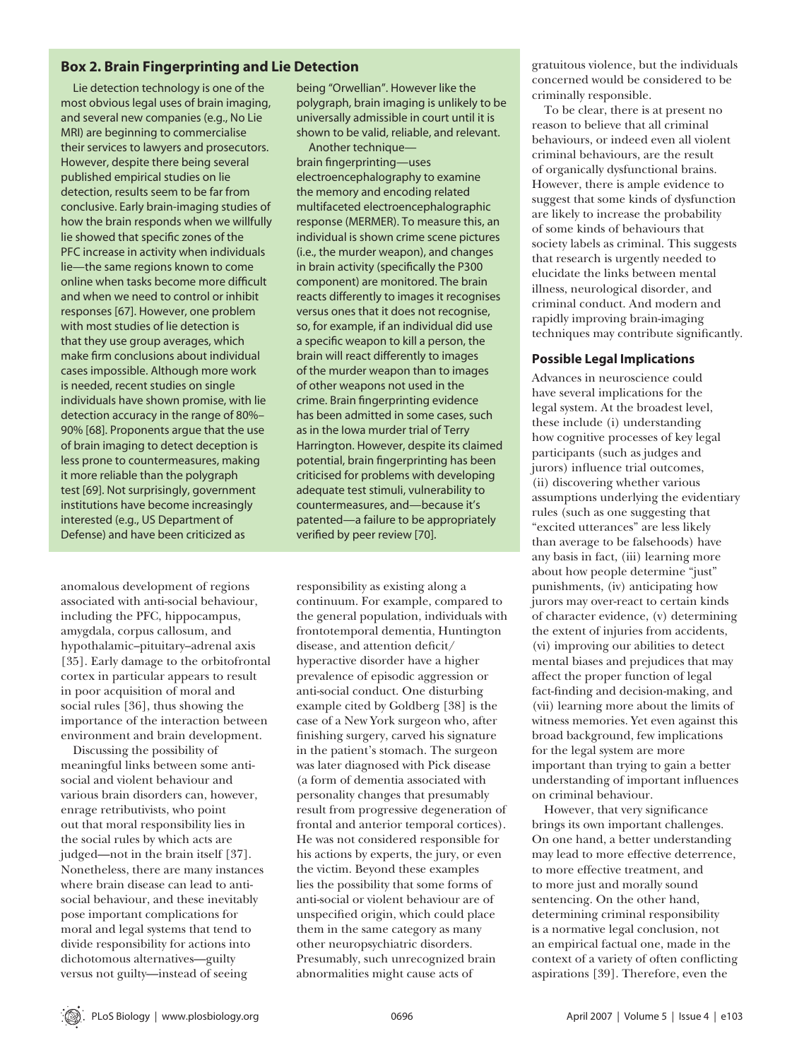## **Box 2. Brain Fingerprinting and Lie Detection**

Lie detection technology is one of the most obvious legal uses of brain imaging, and several new companies (e.g., No Lie MRI) are beginning to commercialise their services to lawyers and prosecutors. However, despite there being several published empirical studies on lie detection, results seem to be far from conclusive. Early brain-imaging studies of how the brain responds when we willfully lie showed that specific zones of the PFC increase in activity when individuals lie—the same regions known to come online when tasks become more difficult and when we need to control or inhibit responses [67]. However, one problem with most studies of lie detection is that they use group averages, which make firm conclusions about individual cases impossible. Although more work is needed, recent studies on single individuals have shown promise, with lie detection accuracy in the range of 80%– 90% [68]. Proponents argue that the use of brain imaging to detect deception is less prone to countermeasures, making it more reliable than the polygraph test [69]. Not surprisingly, government institutions have become increasingly interested (e.g., US Department of Defense) and have been criticized as

anomalous development of regions associated with anti-social behaviour, including the PFC, hippocampus, amygdala, corpus callosum, and hypothalamic–pituitary–adrenal axis [35]. Early damage to the orbitofrontal cortex in particular appears to result in poor acquisition of moral and social rules [36], thus showing the importance of the interaction between environment and brain development.

Discussing the possibility of meaningful links between some antisocial and violent behaviour and various brain disorders can, however, enrage retributivists, who point out that moral responsibility lies in the social rules by which acts are judged—not in the brain itself [37]. Nonetheless, there are many instances where brain disease can lead to antisocial behaviour, and these inevitably pose important complications for moral and legal systems that tend to divide responsibility for actions into dichotomous alternatives—guilty versus not guilty—instead of seeing

being "Orwellian". However like the polygraph, brain imaging is unlikely to be universally admissible in court until it is shown to be valid, reliable, and relevant.

Another technique brain fingerprinting—uses electroencephalography to examine the memory and encoding related multifaceted electroencephalographic response (MERMER). To measure this, an individual is shown crime scene pictures (i.e., the murder weapon), and changes in brain activity (specifically the P300 component) are monitored. The brain reacts differently to images it recognises versus ones that it does not recognise, so, for example, if an individual did use a specific weapon to kill a person, the brain will react differently to images of the murder weapon than to images of other weapons not used in the crime. Brain fingerprinting evidence has been admitted in some cases, such as in the Iowa murder trial of Terry Harrington. However, despite its claimed potential, brain fingerprinting has been criticised for problems with developing adequate test stimuli, vulnerability to countermeasures, and—because it's patented—a failure to be appropriately verified by peer review [70].

responsibility as existing along a continuum. For example, compared to the general population, individuals with frontotemporal dementia, Huntington disease, and attention deficit/ hyperactive disorder have a higher prevalence of episodic aggression or anti-social conduct. One disturbing example cited by Goldberg [38] is the case of a New York surgeon who, after finishing surgery, carved his signature in the patient's stomach. The surgeon was later diagnosed with Pick disease (a form of dementia associated with personality changes that presumably result from progressive degeneration of frontal and anterior temporal cortices). He was not considered responsible for his actions by experts, the jury, or even the victim. Beyond these examples lies the possibility that some forms of anti-social or violent behaviour are of unspecified origin, which could place them in the same category as many other neuropsychiatric disorders. Presumably, such unrecognized brain abnormalities might cause acts of

gratuitous violence, but the individuals concerned would be considered to be criminally responsible.

To be clear, there is at present no reason to believe that all criminal behaviours, or indeed even all violent criminal behaviours, are the result of organically dysfunctional brains. However, there is ample evidence to suggest that some kinds of dysfunction are likely to increase the probability of some kinds of behaviours that society labels as criminal. This suggests that research is urgently needed to elucidate the links between mental illness, neurological disorder, and criminal conduct. And modern and rapidly improving brain-imaging techniques may contribute significantly.

#### **Possible Legal Implications**

Advances in neuroscience could have several implications for the legal system. At the broadest level, these include (i) understanding how cognitive processes of key legal participants (such as judges and jurors) influence trial outcomes, (ii) discovering whether various assumptions underlying the evidentiary rules (such as one suggesting that "excited utterances" are less likely than average to be falsehoods) have any basis in fact, (iii) learning more about how people determine "just" punishments, (iv) anticipating how jurors may over-react to certain kinds of character evidence, (v) determining the extent of injuries from accidents, (vi) improving our abilities to detect mental biases and prejudices that may affect the proper function of legal fact-finding and decision-making, and (vii) learning more about the limits of witness memories. Yet even against this broad background, few implications for the legal system are more important than trying to gain a better understanding of important influences on criminal behaviour.

However, that very significance brings its own important challenges. On one hand, a better understanding may lead to more effective deterrence, to more effective treatment, and to more just and morally sound sentencing. On the other hand, determining criminal responsibility is a normative legal conclusion, not an empirical factual one, made in the context of a variety of often conflicting aspirations [39]. Therefore, even the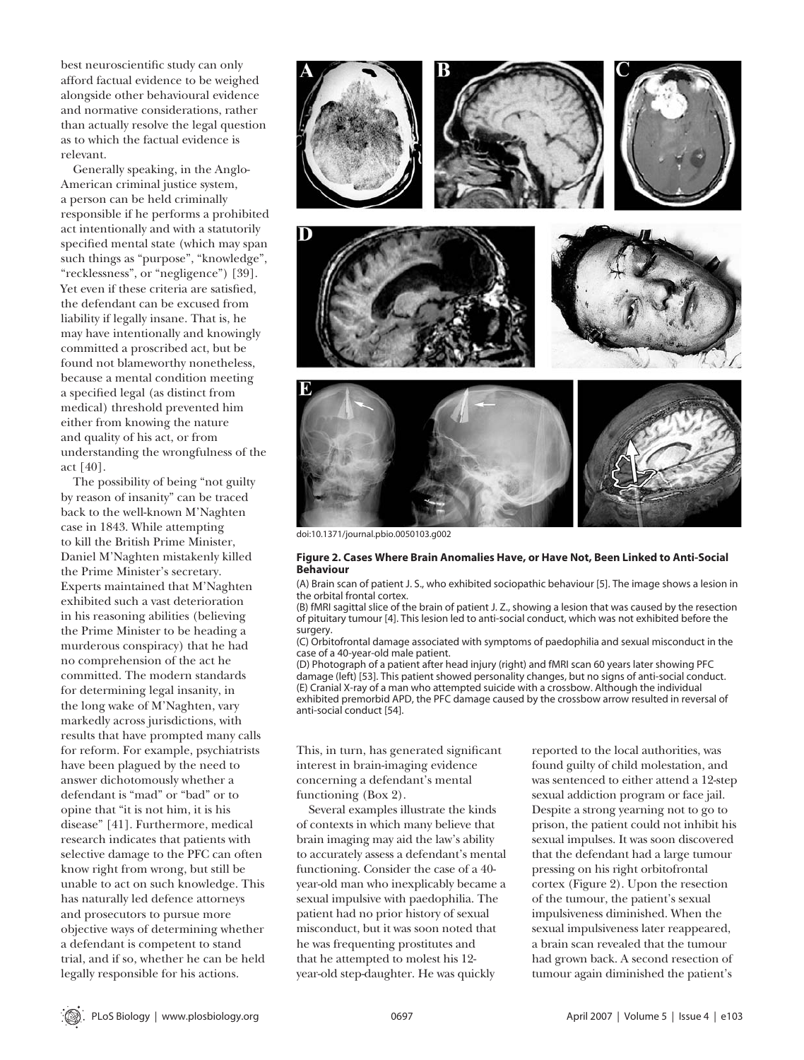best neuroscientific study can only afford factual evidence to be weighed alongside other behavioural evidence and normative considerations, rather than actually resolve the legal question as to which the factual evidence is relevant.

Generally speaking, in the Anglo-American criminal justice system, a person can be held criminally responsible if he performs a prohibited act intentionally and with a statutorily specified mental state (which may span such things as "purpose", "knowledge", "recklessness", or "negligence") [39]. Yet even if these criteria are satisfied, the defendant can be excused from liability if legally insane. That is, he may have intentionally and knowingly committed a proscribed act, but be found not blameworthy nonetheless, because a mental condition meeting a specified legal (as distinct from medical) threshold prevented him either from knowing the nature and quality of his act, or from understanding the wrongfulness of the act [40].

The possibility of being "not guilty by reason of insanity" can be traced back to the well-known M'Naghten case in 1843. While attempting to kill the British Prime Minister, Daniel M'Naghten mistakenly killed the Prime Minister's secretary. Experts maintained that M'Naghten exhibited such a vast deterioration in his reasoning abilities (believing the Prime Minister to be heading a murderous conspiracy) that he had no comprehension of the act he committed. The modern standards for determining legal insanity, in the long wake of M'Naghten, vary markedly across jurisdictions, with results that have prompted many calls for reform. For example, psychiatrists have been plagued by the need to answer dichotomously whether a defendant is "mad" or "bad" or to opine that "it is not him, it is his disease" [41]. Furthermore, medical research indicates that patients with selective damage to the PFC can often know right from wrong, but still be unable to act on such knowledge. This has naturally led defence attorneys and prosecutors to pursue more objective ways of determining whether a defendant is competent to stand trial, and if so, whether he can be held legally responsible for his actions.



doi:10.1371/journal.pbio.0050103.g002

#### **Figure 2. Cases Where Brain Anomalies Have, or Have Not, Been Linked to Anti-Social Behaviour**

(A) Brain scan of patient J. S., who exhibited sociopathic behaviour [5]. The image shows a lesion in the orbital frontal cortex.

(B) fMRI sagittal slice of the brain of patient J. Z., showing a lesion that was caused by the resection of pituitary tumour [4]. This lesion led to anti-social conduct, which was not exhibited before the surgery.

(C) Orbitofrontal damage associated with symptoms of paedophilia and sexual misconduct in the case of a 40-year-old male patient.

(D) Photograph of a patient after head injury (right) and fMRI scan 60 years later showing PFC damage (left) [53]. This patient showed personality changes, but no signs of anti-social conduct. (E) Cranial X-ray of a man who attempted suicide with a crossbow. Although the individual exhibited premorbid APD, the PFC damage caused by the crossbow arrow resulted in reversal of anti-social conduct [54].

This, in turn, has generated significant interest in brain-imaging evidence concerning a defendant's mental functioning (Box 2).

Several examples illustrate the kinds of contexts in which many believe that brain imaging may aid the law's ability to accurately assess a defendant's mental functioning. Consider the case of a 40 year-old man who inexplicably became a sexual impulsive with paedophilia. The patient had no prior history of sexual misconduct, but it was soon noted that he was frequenting prostitutes and that he attempted to molest his 12 year-old step-daughter. He was quickly

reported to the local authorities, was found guilty of child molestation, and was sentenced to either attend a 12-step sexual addiction program or face jail. Despite a strong yearning not to go to prison, the patient could not inhibit his sexual impulses. It was soon discovered that the defendant had a large tumour pressing on his right orbitofrontal cortex (Figure 2). Upon the resection of the tumour, the patient's sexual impulsiveness diminished. When the sexual impulsiveness later reappeared, a brain scan revealed that the tumour had grown back. A second resection of tumour again diminished the patient's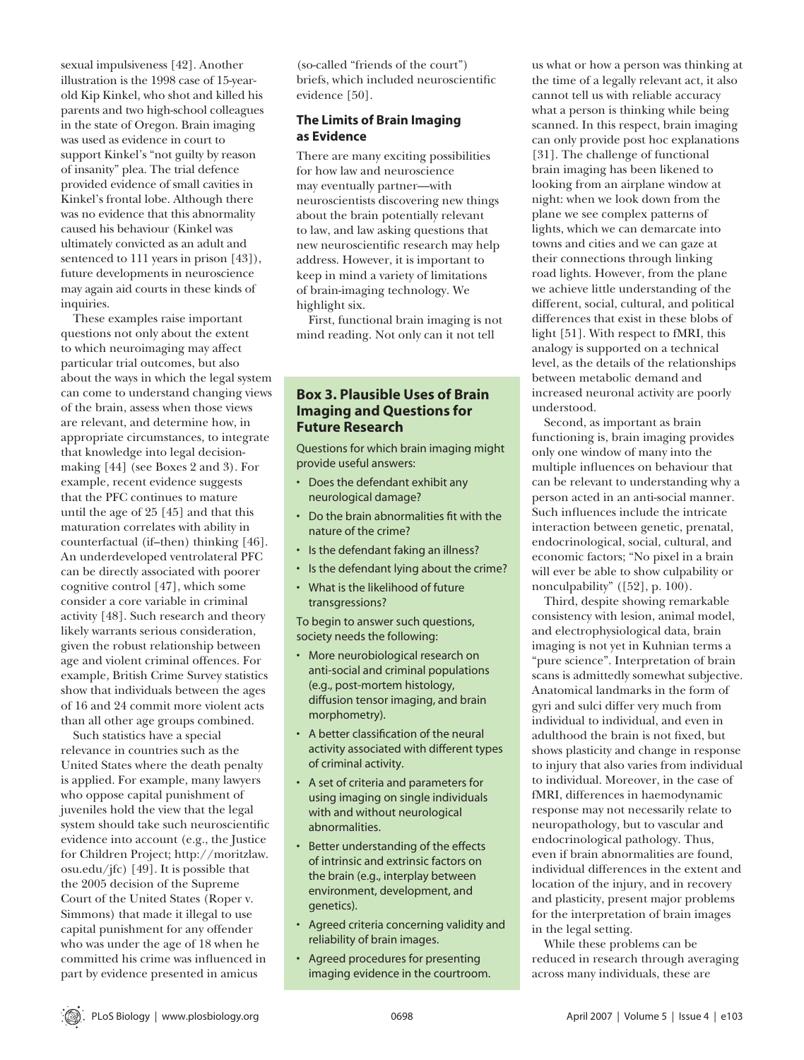sexual impulsiveness [42]. Another illustration is the 1998 case of 15-yearold Kip Kinkel, who shot and killed his parents and two high-school colleagues in the state of Oregon. Brain imaging was used as evidence in court to support Kinkel's "not guilty by reason of insanity" plea. The trial defence provided evidence of small cavities in Kinkel's frontal lobe. Although there was no evidence that this abnormality caused his behaviour (Kinkel was ultimately convicted as an adult and sentenced to 111 years in prison [43]), future developments in neuroscience may again aid courts in these kinds of inquiries.

These examples raise important questions not only about the extent to which neuroimaging may affect particular trial outcomes, but also about the ways in which the legal system can come to understand changing views of the brain, assess when those views are relevant, and determine how, in appropriate circumstances, to integrate that knowledge into legal decisionmaking [44] (see Boxes 2 and 3). For example, recent evidence suggests that the PFC continues to mature until the age of 25 [45] and that this maturation correlates with ability in counterfactual (if–then) thinking [46]. An underdeveloped ventrolateral PFC can be directly associated with poorer cognitive control [47], which some consider a core variable in criminal activity [48]. Such research and theory likely warrants serious consideration, given the robust relationship between age and violent criminal offences. For example, British Crime Survey statistics show that individuals between the ages of 16 and 24 commit more violent acts than all other age groups combined.

Such statistics have a special relevance in countries such as the United States where the death penalty is applied. For example, many lawyers who oppose capital punishment of juveniles hold the view that the legal system should take such neuroscientific evidence into account (e.g., the Justice for Children Project; http://moritzlaw. osu.edu/jfc) [49]. It is possible that the 2005 decision of the Supreme Court of the United States (Roper v. Simmons) that made it illegal to use capital punishment for any offender who was under the age of 18 when he committed his crime was influenced in part by evidence presented in amicus

(so-called "friends of the court") briefs, which included neuroscientific evidence [50].

## **The Limits of Brain Imaging as Evidence**

There are many exciting possibilities for how law and neuroscience may eventually partner—with neuroscientists discovering new things about the brain potentially relevant to law, and law asking questions that new neuroscientific research may help address. However, it is important to keep in mind a variety of limitations of brain-imaging technology. We highlight six.

First, functional brain imaging is not mind reading. Not only can it not tell

## **Box 3. Plausible Uses of Brain Imaging and Questions for Future Research**

Questions for which brain imaging might provide useful answers:

- Does the defendant exhibit any neurological damage?
- Do the brain abnormalities fit with the nature of the crime?
- Is the defendant faking an illness?
- Is the defendant lying about the crime?
- What is the likelihood of future transgressions?

To begin to answer such questions, society needs the following:

- More neurobiological research on anti-social and criminal populations (e.g., post-mortem histology, diffusion tensor imaging, and brain morphometry).
- A better classification of the neural activity associated with different types of criminal activity.
- A set of criteria and parameters for using imaging on single individuals with and without neurological abnormalities.
- Better understanding of the effects of intrinsic and extrinsic factors on the brain (e.g., interplay between environment, development, and genetics).
- Agreed criteria concerning validity and reliability of brain images.
- Agreed procedures for presenting imaging evidence in the courtroom.

us what or how a person was thinking at the time of a legally relevant act, it also cannot tell us with reliable accuracy what a person is thinking while being scanned. In this respect, brain imaging can only provide post hoc explanations [31]. The challenge of functional brain imaging has been likened to looking from an airplane window at night: when we look down from the plane we see complex patterns of lights, which we can demarcate into towns and cities and we can gaze at their connections through linking road lights. However, from the plane we achieve little understanding of the different, social, cultural, and political differences that exist in these blobs of light [51]. With respect to fMRI, this analogy is supported on a technical level, as the details of the relationships between metabolic demand and increased neuronal activity are poorly understood.

Second, as important as brain functioning is, brain imaging provides only one window of many into the multiple influences on behaviour that can be relevant to understanding why a person acted in an anti-social manner. Such influences include the intricate interaction between genetic, prenatal, endocrinological, social, cultural, and economic factors; "No pixel in a brain will ever be able to show culpability or nonculpability" ([52], p. 100).

Third, despite showing remarkable consistency with lesion, animal model, and electrophysiological data, brain imaging is not yet in Kuhnian terms a "pure science". Interpretation of brain scans is admittedly somewhat subjective. Anatomical landmarks in the form of gyri and sulci differ very much from individual to individual, and even in adulthood the brain is not fixed, but shows plasticity and change in response to injury that also varies from individual to individual. Moreover, in the case of fMRI, differences in haemodynamic response may not necessarily relate to neuropathology, but to vascular and endocrinological pathology. Thus, even if brain abnormalities are found, individual differences in the extent and location of the injury, and in recovery and plasticity, present major problems for the interpretation of brain images in the legal setting.

While these problems can be reduced in research through averaging across many individuals, these are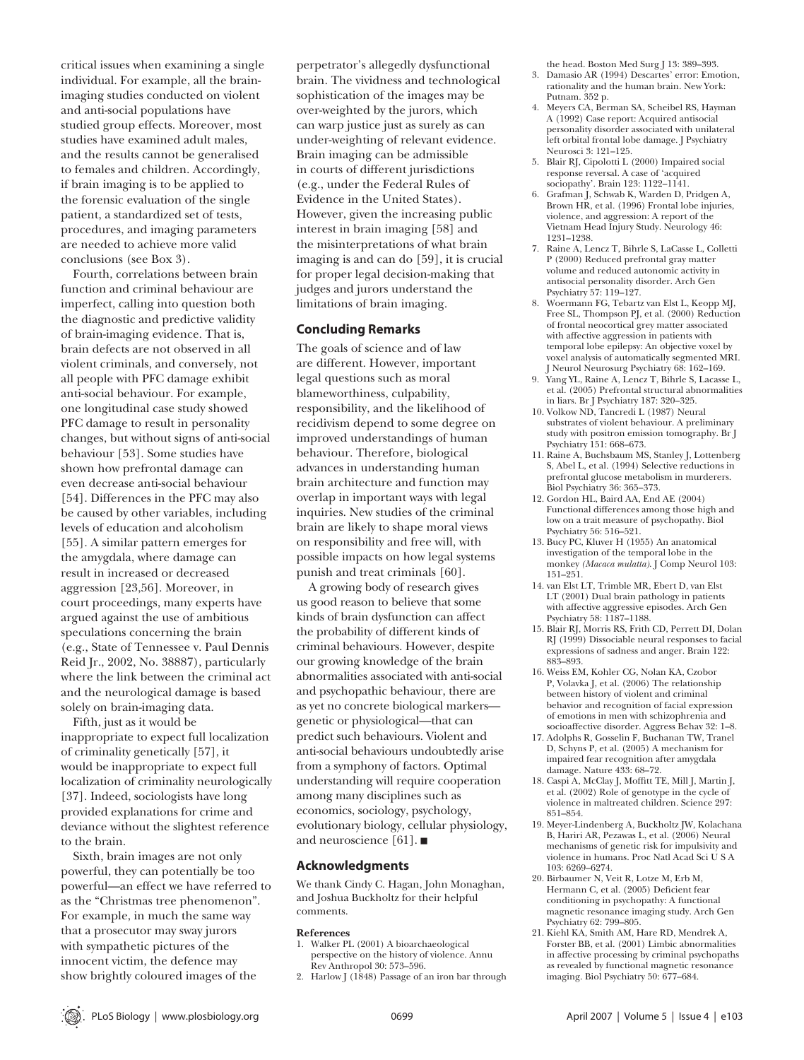critical issues when examining a single individual. For example, all the brainimaging studies conducted on violent and anti-social populations have studied group effects. Moreover, most studies have examined adult males, and the results cannot be generalised to females and children. Accordingly, if brain imaging is to be applied to the forensic evaluation of the single patient, a standardized set of tests, procedures, and imaging parameters are needed to achieve more valid conclusions (see Box 3).

Fourth, correlations between brain function and criminal behaviour are imperfect, calling into question both the diagnostic and predictive validity of brain-imaging evidence. That is, brain defects are not observed in all violent criminals, and conversely, not all people with PFC damage exhibit anti-social behaviour. For example, one longitudinal case study showed PFC damage to result in personality changes, but without signs of anti-social behaviour [53]. Some studies have shown how prefrontal damage can even decrease anti-social behaviour [54]. Differences in the PFC may also be caused by other variables, including levels of education and alcoholism [55]. A similar pattern emerges for the amygdala, where damage can result in increased or decreased aggression [23,56]. Moreover, in court proceedings, many experts have argued against the use of ambitious speculations concerning the brain (e.g., State of Tennessee v. Paul Dennis Reid Jr., 2002, No. 38887), particularly where the link between the criminal act and the neurological damage is based solely on brain-imaging data.

Fifth, just as it would be inappropriate to expect full localization of criminality genetically [57], it would be inappropriate to expect full localization of criminality neurologically [37]. Indeed, sociologists have long provided explanations for crime and deviance without the slightest reference to the brain.

Sixth, brain images are not only powerful, they can potentially be too powerful—an effect we have referred to as the "Christmas tree phenomenon". For example, in much the same way that a prosecutor may sway jurors with sympathetic pictures of the innocent victim, the defence may show brightly coloured images of the

perpetrator's allegedly dysfunctional brain. The vividness and technological sophistication of the images may be over-weighted by the jurors, which can warp justice just as surely as can under-weighting of relevant evidence. Brain imaging can be admissible in courts of different jurisdictions (e.g., under the Federal Rules of Evidence in the United States). However, given the increasing public interest in brain imaging [58] and the misinterpretations of what brain imaging is and can do [59], it is crucial for proper legal decision-making that judges and jurors understand the limitations of brain imaging.

#### **Concluding Remarks**

The goals of science and of law are different. However, important legal questions such as moral blameworthiness, culpability, responsibility, and the likelihood of recidivism depend to some degree on improved understandings of human behaviour. Therefore, biological advances in understanding human brain architecture and function may overlap in important ways with legal inquiries. New studies of the criminal brain are likely to shape moral views on responsibility and free will, with possible impacts on how legal systems punish and treat criminals [60].

A growing body of research gives us good reason to believe that some kinds of brain dysfunction can affect the probability of different kinds of criminal behaviours. However, despite our growing knowledge of the brain abnormalities associated with anti-social and psychopathic behaviour, there are as yet no concrete biological markers genetic or physiological—that can predict such behaviours. Violent and anti-social behaviours undoubtedly arise from a symphony of factors. Optimal understanding will require cooperation among many disciplines such as economics, sociology, psychology, evolutionary biology, cellular physiology, and neuroscience [61].  $\blacksquare$ 

#### **Acknowledgments**

We thank Cindy C. Hagan, John Monaghan, and Joshua Buckholtz for their helpful comments.

#### **References**

- 1. Walker PL (2001) A bioarchaeological perspective on the history of violence. Annu Rev Anthropol 30: 573–596.
- 2. Harlow J (1848) Passage of an iron bar through

the head. Boston Med Surg J 13: 389-393.

- 3. Damasio AR (1994) Descartes' error: Emotion, rationality and the human brain. New York: Putnam. 352 p.
- 4. Meyers CA, Berman SA, Scheibel RS, Hayman A (1992) Case report: Acquired antisocial personality disorder associated with unilateral left orbital frontal lobe damage. J Psychiatry Neurosci 3: 121–125.
- 5. Blair RJ, Cipolotti L (2000) Impaired social response reversal. A case of 'acquired sociopathy'. Brain 123: 1122–1141.
- 6. Grafman J, Schwab K, Warden D, Pridgen A, Brown HR, et al. (1996) Frontal lobe injuries, violence, and aggression: A report of the Vietnam Head Injury Study. Neurology 46: 1231–1238.
- 7. Raine A, Lencz T, Bihrle S, LaCasse L, Colletti P (2000) Reduced prefrontal gray matter volume and reduced autonomic activity in antisocial personality disorder. Arch Gen Psychiatry 57: 119–127.
- 8. Woermann FG, Tebartz van Elst L, Keopp MJ, Free SL, Thompson PJ, et al. (2000) Reduction of frontal neocortical grey matter associated with affective aggression in patients with temporal lobe epilepsy: An objective voxel by voxel analysis of automatically segmented MRI. J Neurol Neurosurg Psychiatry 68: 162–169.
- 9. Yang YL, Raine A, Lencz T, Bihrle S, Lacasse L, et al. (2005) Prefrontal structural abnormalities in liars. Br J Psychiatry 187: 320–325.
- 10. Volkow ND, Tancredi L (1987) Neural substrates of violent behaviour. A preliminary study with positron emission tomography. Br J Psychiatry 151: 668–673.
- 11. Raine A, Buchsbaum MS, Stanley J, Lottenberg S, Abel L, et al. (1994) Selective reductions in prefrontal glucose metabolism in murderers. Biol Psychiatry 36: 365–373.
- 12. Gordon HL, Baird AA, End AE (2004) Functional differences among those high and low on a trait measure of psychopathy. Biol Psychiatry 56: 516–521.
- 13. Bucy PC, Kluver H (1955) An anatomical investigation of the temporal lobe in the monkey *(Macaca mulatta)*. J Comp Neurol 103: 151–251.
- 14. van Elst LT, Trimble MR, Ebert D, van Elst LT (2001) Dual brain pathology in patients with affective aggressive episodes. Arch Gen Psychiatry 58: 1187–1188.
- 15. Blair RJ, Morris RS, Frith CD, Perrett DI, Dolan RJ (1999) Dissociable neural responses to facial expressions of sadness and anger. Brain 122: 883–893.
- 16. Weiss EM, Kohler CG, Nolan KA, Czobor P, Volavka J, et al. (2006) The relationship between history of violent and criminal behavior and recognition of facial expression of emotions in men with schizophrenia and socioaffective disorder. Aggress Behav 32: 1–8.
- 17. Adolphs R, Gosselin F, Buchanan TW, Tranel D, Schyns P, et al. (2005) A mechanism for impaired fear recognition after amygdala damage. Nature 433: 68–72.
- 18. Caspi A, McClay J, Moffitt TE, Mill J, Martin J, et al. (2002) Role of genotype in the cycle of violence in maltreated children. Science 297: 851–854.
- 19. Meyer-Lindenberg A, Buckholtz JW, Kolachana B, Hariri AR, Pezawas L, et al. (2006) Neural mechanisms of genetic risk for impulsivity and violence in humans. Proc Natl Acad Sci U S A 103: 6269–6274.
- 20. Birbaumer N, Veit R, Lotze M, Erb M, Hermann C, et al. (2005) Deficient fear conditioning in psychopathy: A functional magnetic resonance imaging study. Arch Gen Psychiatry 62: 799–805.
- 21. Kiehl KA, Smith AM, Hare RD, Mendrek A, Forster BB, et al. (2001) Limbic abnormalities in affective processing by criminal psychopaths as revealed by functional magnetic resonance imaging. Biol Psychiatry 50: 677–684.